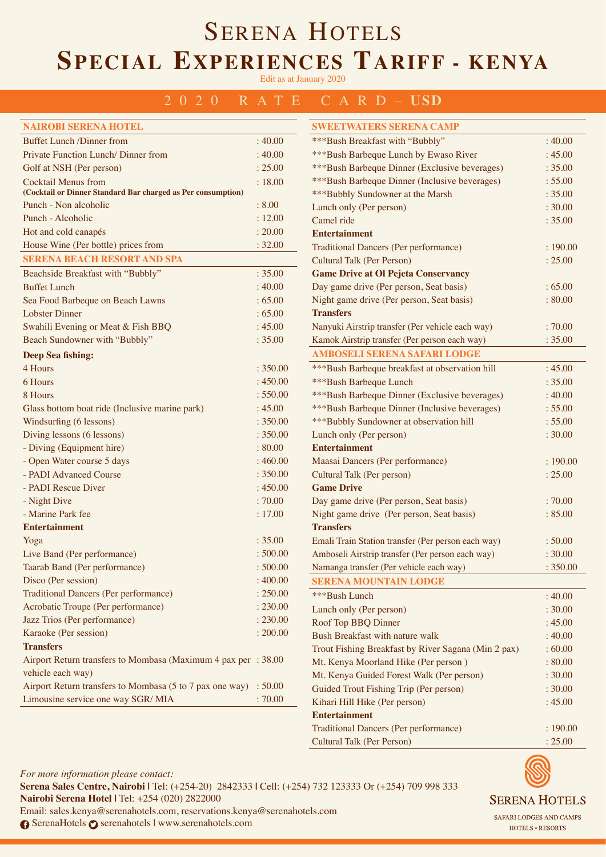Edit as at January 2020

#### 2020 RATE CARD– **USD**

| <b>NAIROBI SERENA HOTEL</b>                                  |          |
|--------------------------------------------------------------|----------|
| <b>Buffet Lunch /Dinner from</b>                             | :40.00   |
| Private Function Lunch/Dinner from                           | :40.00   |
| Golf at NSH (Per person)                                     | : 25.00  |
| <b>Cocktail Menus from</b>                                   | : 18.00  |
| (Cocktail or Dinner Standard Bar charged as Per consumption) |          |
| Punch - Non alcoholic                                        | : 8.00   |
| Punch - Alcoholic                                            | : 12.00  |
| Hot and cold canapés                                         | : 20.00  |
| House Wine (Per bottle) prices from                          | : 32.00  |
| <b>SERENA BEACH RESORT AND SPA</b>                           |          |
| Beachside Breakfast with "Bubbly"                            | : 35.00  |
| <b>Buffet Lunch</b>                                          | : 40.00  |
| Sea Food Barbeque on Beach Lawns                             | :65.00   |
| <b>Lobster Dinner</b>                                        | :65.00   |
| Swahili Evening or Meat & Fish BBQ                           | : 45.00  |
| Beach Sundowner with "Bubbly"                                | : 35.00  |
| <b>Deep Sea fishing:</b>                                     |          |
| 4 Hours                                                      | : 350.00 |
| 6 Hours                                                      | : 450.00 |
| 8 Hours                                                      | : 550.00 |
| Glass bottom boat ride (Inclusive marine park)               | : 45.00  |
| Windsurfing (6 lessons)                                      | : 350.00 |
| Diving lessons (6 lessons)                                   | : 350.00 |
| - Diving (Equipment hire)                                    | : 80.00  |
| - Open Water course 5 days                                   | :460.00  |
| - PADI Advanced Course                                       | : 350.00 |
| - PADI Rescue Diver                                          | :450.00  |
| - Night Dive                                                 | :70.00   |
| - Marine Park fee                                            | : 17.00  |
| <b>Entertainment</b>                                         |          |
| Yoga                                                         | : 35.00  |
| Live Band (Per performance)                                  | :500.00  |
| Taarab Band (Per performance)                                | : 500.00 |
| Disco (Per session)                                          | :400.00  |
| <b>Traditional Dancers (Per performance)</b>                 | : 250.00 |
| Acrobatic Troupe (Per performance)                           | : 230.00 |
| Jazz Trios (Per performance)                                 | : 230.00 |
| Karaoke (Per session)                                        | : 200.00 |
| <b>Transfers</b>                                             |          |
| Airport Return transfers to Mombasa (Maximum 4 pax per       | : 38.00  |
| vehicle each way)                                            |          |
| Airport Return transfers to Mombasa (5 to 7 pax one way)     | :50.00   |
| Limousine service one way SGR/MIA                            | :70.00   |

| <b>SWEETWATERS SERENA CAMP</b>                      |          |
|-----------------------------------------------------|----------|
| ***Bush Breakfast with "Bubbly"                     | :40.00   |
| ***Bush Barbeque Lunch by Ewaso River               | : 45.00  |
| ***Bush Barbeque Dinner (Exclusive beverages)       | : 35.00  |
| ***Bush Barbeque Dinner (Inclusive beverages)       | : 55.00  |
| *** Bubbly Sundowner at the Marsh                   | : 35.00  |
| Lunch only (Per person)                             | : 30.00  |
| Camel ride                                          | : 35.00  |
| <b>Entertainment</b>                                |          |
| <b>Traditional Dancers (Per performance)</b>        | :190.00  |
| <b>Cultural Talk (Per Person)</b>                   | : 25.00  |
| <b>Game Drive at Ol Pejeta Conservancy</b>          |          |
| Day game drive (Per person, Seat basis)             | :65.00   |
| Night game drive (Per person, Seat basis)           | :80.00   |
| <b>Transfers</b>                                    |          |
| Nanyuki Airstrip transfer (Per vehicle each way)    | :70.00   |
| Kamok Airstrip transfer (Per person each way)       | : 35.00  |
| <b>AMBOSELI SERENA SAFARI LODGE</b>                 |          |
| ***Bush Barbeque breakfast at observation hill      | : 45.00  |
| ***Bush Barbeque Lunch                              | : 35.00  |
| ***Bush Barbeque Dinner (Exclusive beverages)       | :40.00   |
| ***Bush Barbeque Dinner (Inclusive beverages)       | : 55.00  |
| *** Bubbly Sundowner at observation hill            | : 55.00  |
| Lunch only (Per person)                             | : 30.00  |
| <b>Entertainment</b>                                |          |
| Maasai Dancers (Per performance)                    | :190.00  |
| <b>Cultural Talk (Per person)</b>                   | : 25.00  |
| <b>Game Drive</b>                                   |          |
| Day game drive (Per person, Seat basis)             | :70.00   |
| Night game drive (Per person, Seat basis)           | : 85.00  |
| <b>Transfers</b>                                    |          |
| Emali Train Station transfer (Per person each way)  | :50.00   |
| Amboseli Airstrip transfer (Per person each way)    | : 30.00  |
| Namanga transfer (Per vehicle each way)             | : 350.00 |
|                                                     |          |
| <b>SERENA MOUNTAIN LODGE</b>                        |          |
| ***Bush Lunch                                       | :40.00   |
| Lunch only (Per person)                             | : 30.00  |
| Roof Top BBQ Dinner                                 | : 45.00  |
| Bush Breakfast with nature walk                     | :40.00   |
| Trout Fishing Breakfast by River Sagana (Min 2 pax) | :60.00   |
| Mt. Kenya Moorland Hike (Per person)                | : 80.00  |
| Mt. Kenya Guided Forest Walk (Per person)           | : 30.00  |
| Guided Trout Fishing Trip (Per person)              | : 30.00  |
| Kihari Hill Hike (Per person)                       | : 45.00  |
| <b>Entertainment</b>                                |          |
| <b>Traditional Dancers (Per performance)</b>        | :190.00  |
| <b>Cultural Talk (Per Person)</b>                   | : 25.00  |



*For more information please contact:*  **Serena Sales Centre, Nairobi |** Tel: (+254-20) 2842333 **|** Cell: (+254) 732 123333 Or (+254) 709 998 333 **Nairobi Serena Hotel |** Tel: +254 (020) 2822000 Email: sales.kenya@serenahotels.com, reservations.kenya@serenahotels.com **↑ SerenaHotels ↑ serenahotels | www.serenahotels.com** 

### HOTELS . RESORTS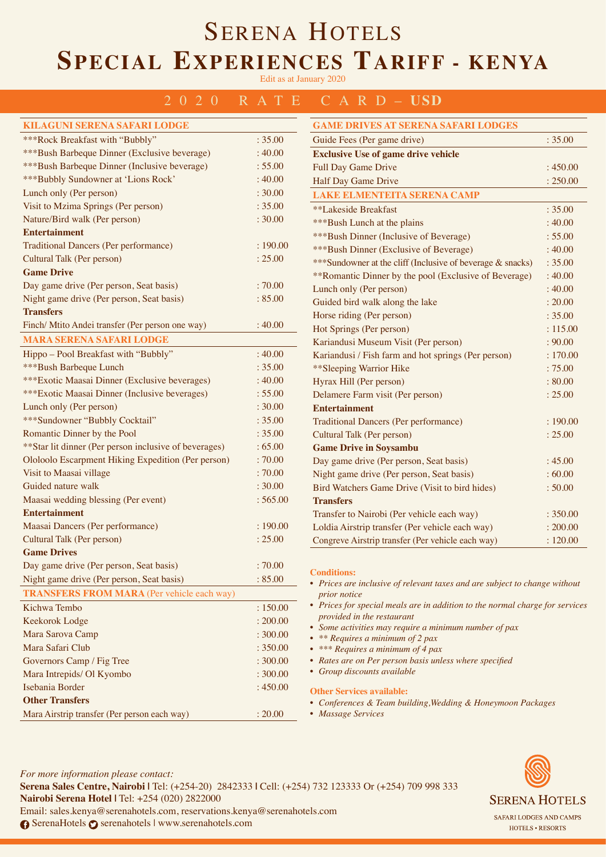Edit as at January 2020

#### 2020 RATE CARD– **USD**

| <b>KILAGUNI SERENA SAFARI LODGE</b>                    |          | <b>GAME DRIVES AT SERENA SAFARI LODGES</b>                                                |          |
|--------------------------------------------------------|----------|-------------------------------------------------------------------------------------------|----------|
| ***Rock Breakfast with "Bubbly"                        | : 35.00  | Guide Fees (Per game drive)                                                               | : 35.00  |
| ***Bush Barbeque Dinner (Exclusive beverage)           | :40.00   | <b>Exclusive Use of game drive vehicle</b>                                                |          |
| ***Bush Barbeque Dinner (Inclusive beverage)           | : 55.00  | Full Day Game Drive                                                                       | :450.00  |
| *** Bubbly Sundowner at 'Lions Rock'                   | :40.00   | Half Day Game Drive                                                                       | : 250.00 |
| Lunch only (Per person)                                | : 30.00  | <b>LAKE ELMENTEITA SERENA CAMP</b>                                                        |          |
| Visit to Mzima Springs (Per person)                    | : 35.00  | **Lakeside Breakfast                                                                      | : 35.00  |
| Nature/Bird walk (Per person)                          | : 30.00  | ***Bush Lunch at the plains                                                               | : 40.00  |
| <b>Entertainment</b>                                   |          | ***Bush Dinner (Inclusive of Beverage)                                                    | : 55.00  |
| <b>Traditional Dancers (Per performance)</b>           | :190.00  | ***Bush Dinner (Exclusive of Beverage)                                                    | : 40.00  |
| Cultural Talk (Per person)                             | : 25.00  | *** Sundowner at the cliff (Inclusive of beverage & snacks)                               | : 35.00  |
| <b>Game Drive</b>                                      |          | **Romantic Dinner by the pool (Exclusive of Beverage)                                     | :40.00   |
| Day game drive (Per person, Seat basis)                | :70.00   | Lunch only (Per person)                                                                   | : 40.00  |
| Night game drive (Per person, Seat basis)              | : 85.00  | Guided bird walk along the lake                                                           | : 20.00  |
| <b>Transfers</b>                                       |          | Horse riding (Per person)                                                                 | : 35.00  |
| Finch/ Mtito Andei transfer (Per person one way)       | :40.00   | Hot Springs (Per person)                                                                  | : 115.00 |
| <b>MARA SERENA SAFARI LODGE</b>                        |          | Kariandusi Museum Visit (Per person)                                                      | : 90.00  |
| Hippo - Pool Breakfast with "Bubbly"                   | :40.00   | Kariandusi / Fish farm and hot springs (Per person)                                       | : 170.00 |
| ***Bush Barbeque Lunch                                 | : 35.00  | ** Sleeping Warrior Hike                                                                  | :75.00   |
| ***Exotic Maasai Dinner (Exclusive beverages)          | :40.00   | Hyrax Hill (Per person)                                                                   | : 80.00  |
| ***Exotic Maasai Dinner (Inclusive beverages)          | : 55.00  | Delamere Farm visit (Per person)                                                          | : 25.00  |
| Lunch only (Per person)                                | : 30.00  | <b>Entertainment</b>                                                                      |          |
| *** Sundowner "Bubbly Cocktail"                        | : 35.00  | <b>Traditional Dancers (Per performance)</b>                                              | : 190.00 |
| Romantic Dinner by the Pool                            | : 35.00  | Cultural Talk (Per person)                                                                | : 25.00  |
| ** Star lit dinner (Per person inclusive of beverages) | :65.00   | <b>Game Drive in Soysambu</b>                                                             |          |
| Ololoolo Escarpment Hiking Expedition (Per person)     | :70.00   | Day game drive (Per person, Seat basis)                                                   | : 45.00  |
| Visit to Maasai village                                | :70.00   | Night game drive (Per person, Seat basis)                                                 | :60.00   |
| Guided nature walk                                     | : 30.00  | Bird Watchers Game Drive (Visit to bird hides)                                            | : 50.00  |
| Maasai wedding blessing (Per event)                    | :565.00  | <b>Transfers</b>                                                                          |          |
| <b>Entertainment</b>                                   |          | Transfer to Nairobi (Per vehicle each way)                                                | : 350.00 |
| Maasai Dancers (Per performance)                       | :190.00  | Loldia Airstrip transfer (Per vehicle each way)                                           | : 200.00 |
| Cultural Talk (Per person)                             | : 25.00  | Congreve Airstrip transfer (Per vehicle each way)                                         | : 120.00 |
| <b>Game Drives</b>                                     |          |                                                                                           |          |
| Day game drive (Per person, Seat basis)                | :70.00   | <b>Conditions:</b>                                                                        |          |
| Night game drive (Per person, Seat basis)              | :85.00   | • Prices are inclusive of relevant taxes and are subject to change without                |          |
| <b>TRANSFERS FROM MARA</b> (Per vehicle each way)      |          | <i>prior notice</i>                                                                       |          |
| Kichwa Tembo                                           | : 150.00 | • Prices for special meals are in addition to the normal charge for services              |          |
| Keekorok Lodge                                         | : 200.00 | provided in the restaurant                                                                |          |
| Mara Sarova Camp                                       | : 300.00 | • Some activities may require a minimum number of pax<br>• ** Requires a minimum of 2 pax |          |
| Mara Safari Club                                       | : 350.00 | • *** Requires a minimum of 4 pax                                                         |          |
| Governors Camp / Fig Tree                              | : 300.00 | • Rates are on Per person basis unless where specified                                    |          |
| Mara Intrepids/ Ol Kyombo                              | : 300.00 | • Group discounts available                                                               |          |
| Isebania Border                                        | :450.00  | <b>Other Services available:</b>                                                          |          |
| <b>Other Transfers</b>                                 |          | • Conferences & Team building, Wedding & Honeymoon Packages                               |          |
| Mara Airstrip transfer (Per person each way)           | : 20.00  | • Massage Services                                                                        |          |
|                                                        |          |                                                                                           |          |

*For more information please contact:*  **Serena Sales Centre, Nairobi |** Tel: (+254-20) 2842333 **|** Cell: (+254) 732 123333 Or (+254) 709 998 333 **Nairobi Serena Hotel |** Tel: +254 (020) 2822000 Email: sales.kenya@serenahotels.com, reservations.kenya@serenahotels.com **↑ SerenaHotels ↑ serenahotels | www.serenahotels.com** 

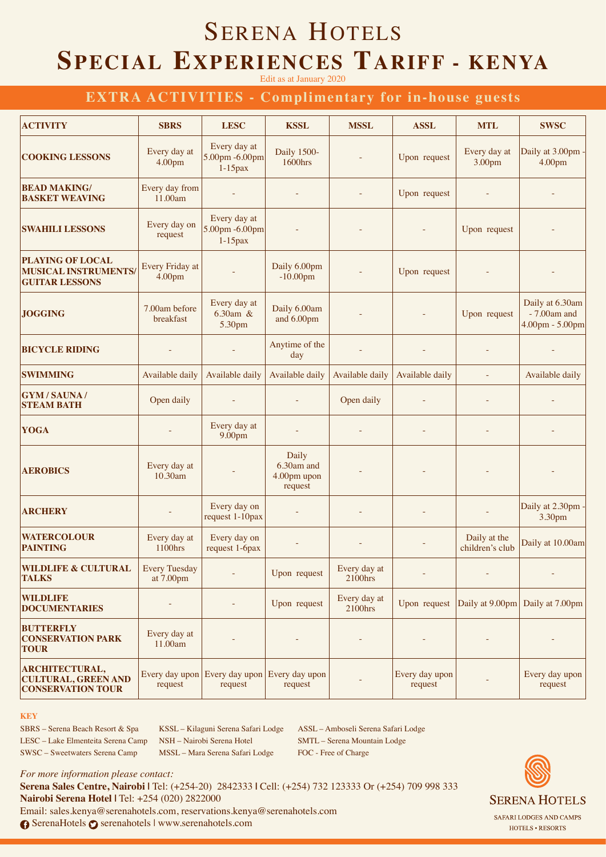Edit as at January 2020

### **EXTRA ACTIVITIES - Complimentary for in-house guests**

| <b>ACTIVITY</b>                                                                 | <b>SBRS</b>                       | <b>LESC</b>                                  | <b>KSSL</b>                                   | <b>MSSL</b>             | <b>ASSL</b>               | <b>MTL</b>                      | <b>SWSC</b>                                            |
|---------------------------------------------------------------------------------|-----------------------------------|----------------------------------------------|-----------------------------------------------|-------------------------|---------------------------|---------------------------------|--------------------------------------------------------|
| <b>COOKING LESSONS</b>                                                          | Every day at<br>4.00pm            | Every day at<br>5.00pm -6.00pm<br>$1-15$ pax | <b>Daily 1500-</b><br>1600hrs                 |                         | Upon request              | Every day at<br>3.00pm          | Daily at 3.00pm<br>4.00pm                              |
| <b>BEAD MAKING/</b><br><b>BASKET WEAVING</b>                                    | Every day from<br>11.00am         |                                              |                                               |                         | Upon request              |                                 |                                                        |
| <b>SWAHILI LESSONS</b>                                                          | Every day on<br>request           | Every day at<br>5.00pm -6.00pm<br>$1-15$ pax |                                               |                         |                           | Upon request                    |                                                        |
| <b>PLAYING OF LOCAL</b><br><b>MUSICAL INSTRUMENTS/</b><br><b>GUITAR LESSONS</b> | Every Friday at<br>4.00pm         |                                              | Daily 6.00pm<br>$-10.00$ pm                   |                         | Upon request              |                                 |                                                        |
| <b>JOGGING</b>                                                                  | 7.00am before<br>breakfast        | Every day at<br>6.30am &<br>5.30pm           | Daily 6.00am<br>and 6.00pm                    |                         |                           | Upon request                    | Daily at 6.30am<br>$-7.00$ am and<br>$4.00pm - 5.00pm$ |
| <b>BICYCLE RIDING</b>                                                           |                                   |                                              | Anytime of the<br>day                         |                         |                           |                                 |                                                        |
| <b>SWIMMING</b>                                                                 | Available daily                   | Available daily                              | Available daily                               | Available daily         | Available daily           |                                 | Available daily                                        |
| <b>GYM / SAUNA /</b><br><b>STEAM BATH</b>                                       | Open daily                        |                                              |                                               | Open daily              |                           |                                 |                                                        |
| <b>YOGA</b>                                                                     |                                   | Every day at<br>9.00pm                       |                                               |                         |                           |                                 |                                                        |
| <b>AEROBICS</b>                                                                 | Every day at<br>10.30am           |                                              | Daily<br>6.30am and<br>4.00pm upon<br>request |                         |                           |                                 |                                                        |
| <b>ARCHERY</b>                                                                  |                                   | Every day on<br>request 1-10pax              |                                               |                         |                           |                                 | Daily at 2.30pm -<br>3.30pm                            |
| <b>WATERCOLOUR</b><br><b>PAINTING</b>                                           | Every day at<br>1100hrs           | Every day on<br>request 1-6pax               |                                               |                         |                           | Daily at the<br>children's club | Daily at 10.00am                                       |
| <b>WILDLIFE &amp; CULTURAL</b><br><b>TALKS</b>                                  | <b>Every Tuesday</b><br>at 7.00pm |                                              | Upon request                                  | Every day at<br>2100hrs |                           |                                 |                                                        |
| <b>WILDLIFE</b><br><b>DOCUMENTARIES</b>                                         |                                   |                                              | Upon request                                  | Every day at<br>2100hrs | Upon request              |                                 | Daily at 9.00pm Daily at 7.00pm                        |
| <b>BUTTERFLY</b><br><b>CONSERVATION PARK</b><br><b>TOUR</b>                     | Every day at<br>11.00am           |                                              |                                               |                         |                           |                                 |                                                        |
| <b>ARCHITECTURAL,</b><br><b>CULTURAL, GREEN AND</b><br><b>CONSERVATION TOUR</b> | Every day upon<br>request         | Every day upon Every day upon<br>request     | request                                       |                         | Every day upon<br>request |                                 | Every day upon<br>request                              |

#### **KEY**

SBRS – Serena Beach Resort & Spa LESC – Lake Elmenteita Serena Camp SWSC – Sweetwaters Serena Camp

KSSL – Kilaguni Serena Safari Lodge NSH – Nairobi Serena Hotel MSSL – Mara Serena Safari Lodge

ASSL – Amboseli Serena Safari Lodge SMTL – Serena Mountain Lodge FOC - Free of Charge

*For more information please contact:*  **Serena Sales Centre, Nairobi |** Tel: (+254-20) 2842333 **|** Cell: (+254) 732 123333 Or (+254) 709 998 333 **Nairobi Serena Hotel |** Tel: +254 (020) 2822000 Email: sales.kenya@serenahotels.com, reservations.kenya@serenahotels.com **6** SerenaHotels **⊙** serenahotels | www.serenahotels.com